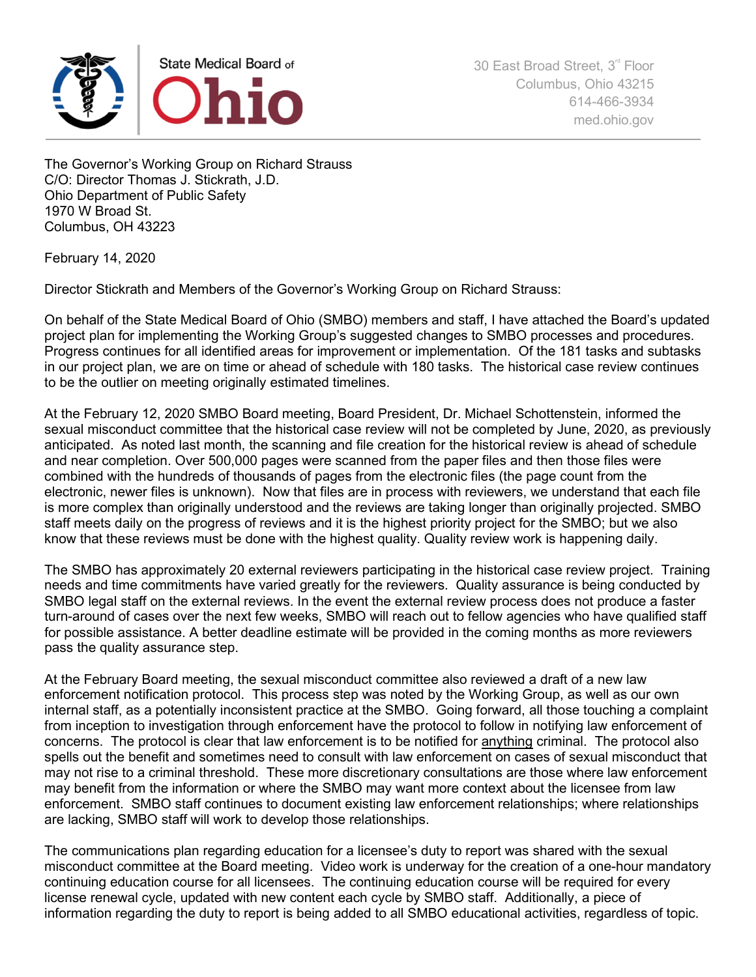

The Governor's Working Group on Richard Strauss C/O: Director Thomas J. Stickrath, J.D. Ohio Department of Public Safety 1970 W Broad St. Columbus, OH 43223

February 14, 2020

Director Stickrath and Members of the Governor's Working Group on Richard Strauss:

On behalf of the State Medical Board of Ohio (SMBO) members and staff, I have attached the Board's updated project plan for implementing the Working Group's suggested changes to SMBO processes and procedures. Progress continues for all identified areas for improvement or implementation. Of the 181 tasks and subtasks in our project plan, we are on time or ahead of schedule with 180 tasks. The historical case review continues to be the outlier on meeting originally estimated timelines.

At the February 12, 2020 SMBO Board meeting, Board President, Dr. Michael Schottenstein, informed the sexual misconduct committee that the historical case review will not be completed by June, 2020, as previously anticipated. As noted last month, the scanning and file creation for the historical review is ahead of schedule and near completion. Over 500,000 pages were scanned from the paper files and then those files were combined with the hundreds of thousands of pages from the electronic files (the page count from the electronic, newer files is unknown). Now that files are in process with reviewers, we understand that each file is more complex than originally understood and the reviews are taking longer than originally projected. SMBO staff meets daily on the progress of reviews and it is the highest priority project for the SMBO; but we also know that these reviews must be done with the highest quality. Quality review work is happening daily.

The SMBO has approximately 20 external reviewers participating in the historical case review project. Training needs and time commitments have varied greatly for the reviewers. Quality assurance is being conducted by SMBO legal staff on the external reviews. In the event the external review process does not produce a faster turn-around of cases over the next few weeks, SMBO will reach out to fellow agencies who have qualified staff for possible assistance. A better deadline estimate will be provided in the coming months as more reviewers pass the quality assurance step.

At the February Board meeting, the sexual misconduct committee also reviewed a draft of a new law enforcement notification protocol. This process step was noted by the Working Group, as well as our own internal staff, as a potentially inconsistent practice at the SMBO. Going forward, all those touching a complaint from inception to investigation through enforcement have the protocol to follow in notifying law enforcement of concerns. The protocol is clear that law enforcement is to be notified for anything criminal. The protocol also spells out the benefit and sometimes need to consult with law enforcement on cases of sexual misconduct that may not rise to a criminal threshold. These more discretionary consultations are those where law enforcement may benefit from the information or where the SMBO may want more context about the licensee from law enforcement. SMBO staff continues to document existing law enforcement relationships; where relationships are lacking, SMBO staff will work to develop those relationships.

The communications plan regarding education for a licensee's duty to report was shared with the sexual misconduct committee at the Board meeting. Video work is underway for the creation of a one-hour mandatory continuing education course for all licensees. The continuing education course will be required for every license renewal cycle, updated with new content each cycle by SMBO staff. Additionally, a piece of information regarding the duty to report is being added to all SMBO educational activities, regardless of topic.